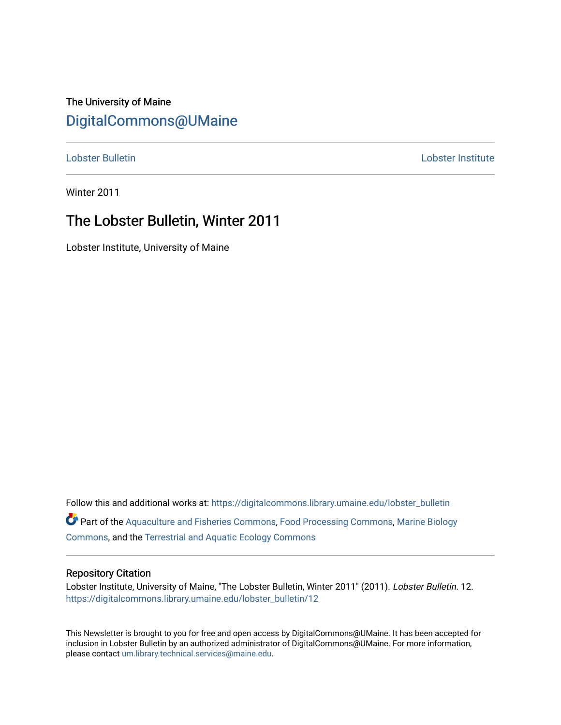# The University of Maine [DigitalCommons@UMaine](https://digitalcommons.library.umaine.edu/)

[Lobster Bulletin](https://digitalcommons.library.umaine.edu/lobster_bulletin) [Lobster Institute](https://digitalcommons.library.umaine.edu/lobster) 

Winter 2011

# The Lobster Bulletin, Winter 2011

Lobster Institute, University of Maine

Follow this and additional works at: [https://digitalcommons.library.umaine.edu/lobster\\_bulletin](https://digitalcommons.library.umaine.edu/lobster_bulletin?utm_source=digitalcommons.library.umaine.edu%2Flobster_bulletin%2F12&utm_medium=PDF&utm_campaign=PDFCoverPages) Part of the [Aquaculture and Fisheries Commons](http://network.bepress.com/hgg/discipline/78?utm_source=digitalcommons.library.umaine.edu%2Flobster_bulletin%2F12&utm_medium=PDF&utm_campaign=PDFCoverPages), [Food Processing Commons,](http://network.bepress.com/hgg/discipline/85?utm_source=digitalcommons.library.umaine.edu%2Flobster_bulletin%2F12&utm_medium=PDF&utm_campaign=PDFCoverPages) [Marine Biology](http://network.bepress.com/hgg/discipline/1126?utm_source=digitalcommons.library.umaine.edu%2Flobster_bulletin%2F12&utm_medium=PDF&utm_campaign=PDFCoverPages) [Commons](http://network.bepress.com/hgg/discipline/1126?utm_source=digitalcommons.library.umaine.edu%2Flobster_bulletin%2F12&utm_medium=PDF&utm_campaign=PDFCoverPages), and the [Terrestrial and Aquatic Ecology Commons](http://network.bepress.com/hgg/discipline/20?utm_source=digitalcommons.library.umaine.edu%2Flobster_bulletin%2F12&utm_medium=PDF&utm_campaign=PDFCoverPages) 

## Repository Citation

Lobster Institute, University of Maine, "The Lobster Bulletin, Winter 2011" (2011). Lobster Bulletin. 12. [https://digitalcommons.library.umaine.edu/lobster\\_bulletin/12](https://digitalcommons.library.umaine.edu/lobster_bulletin/12?utm_source=digitalcommons.library.umaine.edu%2Flobster_bulletin%2F12&utm_medium=PDF&utm_campaign=PDFCoverPages) 

This Newsletter is brought to you for free and open access by DigitalCommons@UMaine. It has been accepted for inclusion in Lobster Bulletin by an authorized administrator of DigitalCommons@UMaine. For more information, please contact [um.library.technical.services@maine.edu.](mailto:um.library.technical.services@maine.edu)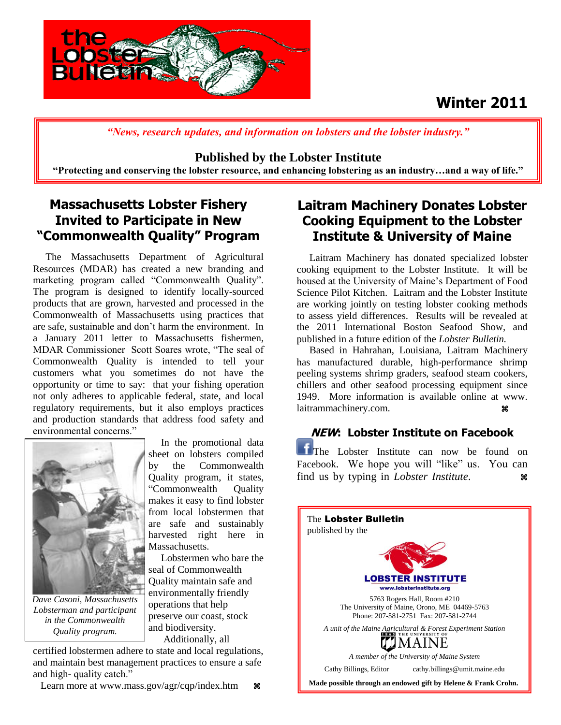# **Winter 2011**



*"News, research updates, and information on lobsters and the lobster industry."*

**Published by the Lobster Institute** 

**"Protecting and conserving the lobster resource, and enhancing lobstering as an industry…and a way of life."**

## **Massachusetts Lobster Fishery Invited to Participate in New "Commonwealth Quality" Program**

 The Massachusetts Department of Agricultural Resources (MDAR) has created a new branding and marketing program called "Commonwealth Quality". The program is designed to identify locally-sourced products that are grown, harvested and processed in the Commonwealth of Massachusetts using practices that are safe, sustainable and don't harm the environment. In a January 2011 letter to Massachusetts fishermen, MDAR Commissioner Scott Soares wrote, "The seal of Commonwealth Quality is intended to tell your customers what you sometimes do not have the opportunity or time to say: that your fishing operation not only adheres to applicable federal, state, and local regulatory requirements, but it also employs practices and production standards that address food safety and environmental concerns."



*Dave Casoni, Massachusetts Lobsterman and participant in the Commonwealth Quality program.*

 In the promotional data sheet on lobsters compiled by the Commonwealth Quality program, it states, "Commonwealth Quality makes it easy to find lobster from local lobstermen that are safe and sustainably harvested right here in Massachusetts.

 Lobstermen who bare the seal of Commonwealth Quality maintain safe and environmentally friendly operations that help preserve our coast, stock and biodiversity. Additionally, all

certified lobstermen adhere to state and local regulations, and maintain best management practices to ensure a safe and high- quality catch."

Learn more at www.mass.gov/agr/cqp/index.htm  $\ast$ 

## **Laitram Machinery Donates Lobster Cooking Equipment to the Lobster Institute & University of Maine**

Laitram Machinery has donated specialized lobster cooking equipment to the Lobster Institute. It will be housed at the University of Maine's Department of Food Science Pilot Kitchen. Laitram and the Lobster Institute are working jointly on testing lobster cooking methods to assess yield differences. Results will be revealed at the 2011 International Boston Seafood Show, and published in a future edition of the *Lobster Bulletin.*

 Based in Hahrahan, Louisiana, Laitram Machinery has manufactured durable, high-performance shrimp peeling systems shrimp graders, seafood steam cookers, chillers and other seafood processing equipment since 1949. More information is available online at www. laitrammachinery.com. **\*\*** 

## **NEW: Lobster Institute on Facebook**

The Lobster Institute can now be found on Facebook. We hope you will "like" us. You can find us by typing in *Lobster Institute*.

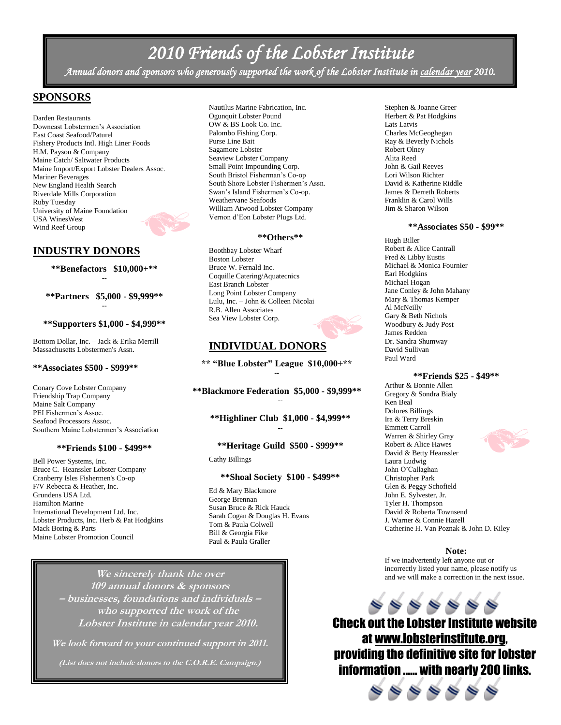# *2010 Friends of the Lobster Institute*

*Annual donors and sponsors who generously supported the work of the Lobster Institute in calendar year 2010.* 

## **SPONSORS**

Darden Restaurants Downeast Lobstermen's Association East Coast Seafood/Paturel Fishery Products Intl. High Liner Foods H.M. Payson & Company Maine Catch/ Saltwater Products Maine Import/Export Lobster Dealers Assoc. Mariner Beverages New England Health Search Riverdale Mills Corporation Ruby Tuesday University of Maine Foundation USA WinesWest Wind Reef Group

## **INDUSTRY DONORS**

**\*\*Benefactors \$10,000+\*\*** --

**\*\*Partners \$5,000 - \$9,999\*\* --**

#### **\*\*Supporters \$1,000 - \$4,999\*\***

Bottom Dollar, Inc. – Jack & Erika Merrill Massachusetts Lobstermen's Assn.

### **\*\*Associates \$500 - \$999\*\***

Conary Cove Lobster Company Friendship Trap Company Maine Salt Company PEI Fishermen's Assoc. Seafood Processors Assoc. Southern Maine Lobstermen's Association

#### **\*\*Friends \$100 - \$499\*\***

Bell Power Systems, Inc. Bruce C. Heanssler Lobster Company Cranberry Isles Fishermen's Co-op F/V Rebecca & Heather, Inc. Grundens USA Ltd. Hamilton Marine International Development Ltd. Inc. Lobster Products, Inc. Herb & Pat Hodgkins Mack Boring & Parts Maine Lobster Promotion Council

Nautilus Marine Fabrication, Inc. Ogunquit Lobster Pound OW & BS Look Co. Inc. Palombo Fishing Corp. Purse Line Bait Sagamore Lobster Seaview Lobster Company Small Point Impounding Corp. South Bristol Fisherman's Co-op South Shore Lobster Fishermen's Assn. Swan's Island Fishermen's Co-op. Weathervane Seafoods William Atwood Lobster Company Vernon d'Eon Lobster Plugs Ltd.

#### **\*\*Others\*\***

Boothbay Lobster Wharf Boston Lobster Bruce W. Fernald Inc. Coquille Catering/Aquatecnics East Branch Lobster Long Point Lobster Company Lulu, Inc. – John & Colleen Nicolai R.B. Allen Associates Sea View Lobster Corp.

## **INDIVIDUAL DONORS**

**\*\* "Blue Lobster" League \$10,000+\*\* --**

**\*\*Blackmore Federation \$5,000 - \$9,999\*\*** --

**\*\*Highliner Club \$1,000 - \$4,999\*\* --**

#### **\*\*Heritage Guild \$500 - \$999\*\***

Cathy Billings

#### **\*\*Shoal Society \$100 - \$499\*\***

Ed & Mary Blackmore George Brennan Susan Bruce & Rick Hauck Sarah Cogan & Douglas H. Evans Tom & Paula Colwell Bill & Georgia Fike Paul & Paula Graller

**We sincerely thank the over 109 annual donors & sponsors – businesses, foundations and individuals – who supported the work of the Lobster Institute in calendar year 2010.**

**We look forward to your continued support in 2011.**

**(List does not include donors to the C.O.R.E. Campaign.)**

Stephen & Joanne Greer Herbert & Pat Hodgkins Lats Latvis Charles McGeoghegan Ray & Beverly Nichols Robert Olney Alita Reed John & Gail Reeves Lori Wilson Richter David & Katherine Riddle James & Derreth Roberts Franklin & Carol Wills Jim & Sharon Wilson

#### **\*\*Associates \$50 - \$99\*\***

Hugh Biller Robert & Alice Cantrall Fred & Libby Eustis Michael & Monica Fournier Earl Hodgkins Michael Hogan Jane Conley & John Mahany Mary & Thomas Kemper Al McNeilly Gary & Beth Nichols Woodbury & Judy Post James Redden Dr. Sandra Shumway David Sullivan Paul Ward

#### **\*\*Friends \$25 - \$49\*\***

Arthur & Bonnie Allen Gregory & Sondra Bialy Ken Beal Dolores Billings Ira & Terry Breskin Emmett Carroll Warren & Shirley Gray Robert & Alice Hawes David & Betty Heanssler Laura Ludwig John O'Callaghan Christopher Park Glen & Peggy Schofield John E. Sylvester, Jr. Tyler H. Thompson David & Roberta Townsend J. Warner & Connie Hazell Catherine H. Van Poznak & John D. Kiley

#### **Note:**

If we inadvertently left anyone out or incorrectly listed your name, please notify us and we will make a correction in the next issue.



Check out the Lobster Institute website at [www.lobsterinstitute.org,](http://www.lobsterinstitute.org/) providing the definitive site for lobster information …… with nearly 200 links.

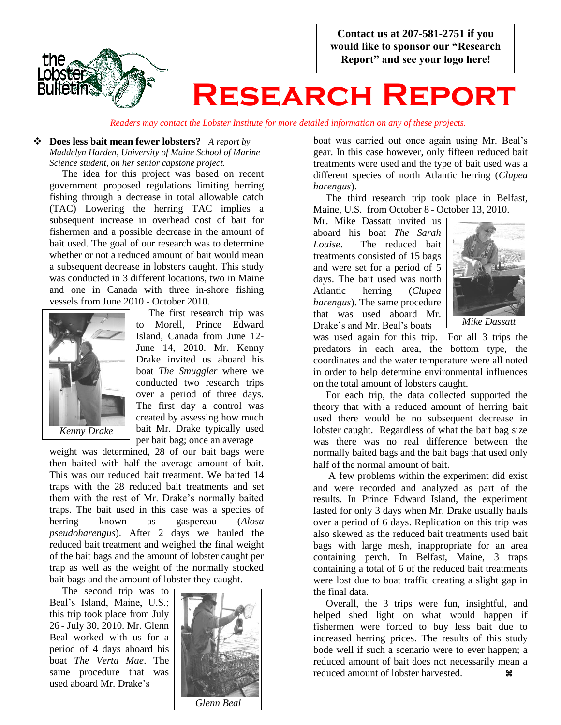**Contact us at 207-581-2751 if you would like to sponsor our "Research Report" and see your logo here!**



# **Research Report**

*Readers may contact the Lobster Institute for more detailed information on any of these projects.*

## **Does less bait mean fewer lobsters?** *A report by Maddelyn Harden, University of Maine School of Marine Science student, on her senior capstone project.*

 The idea for this project was based on recent government proposed regulations limiting herring fishing through a decrease in total allowable catch (TAC) Lowering the herring TAC implies a subsequent increase in overhead cost of bait for fishermen and a possible decrease in the amount of bait used. The goal of our research was to determine whether or not a reduced amount of bait would mean a subsequent decrease in lobsters caught. This study was conducted in 3 different locations, two in Maine and one in Canada with three in-shore fishing vessels from June 2010 - October 2010.



 The first research trip was to Morell, Prince Edward Island, Canada from June 12- June 14, 2010. Mr. Kenny Drake invited us aboard his boat *The Smuggler* where we conducted two research trips over a period of three days. The first day a control was created by assessing how much bait Mr. Drake typically used per bait bag; once an average

weight was determined, 28 of our bait bags were then baited with half the average amount of bait. This was our reduced bait treatment. We baited 14 traps with the 28 reduced bait treatments and set them with the rest of Mr. Drake's normally baited traps. The bait used in this case was a species of herring known as gaspereau (*Alosa pseudoharengus*). After 2 days we hauled the reduced bait treatment and weighed the final weight of the bait bags and the amount of lobster caught per trap as well as the weight of the normally stocked bait bags and the amount of lobster they caught.

 The second trip was to Beal's Island, Maine, U.S.; this trip took place from July 26 - July 30, 2010. Mr. Glenn Beal worked with us for a period of 4 days aboard his boat *The Verta Mae*. The same procedure that was used aboard Mr. Drake's



boat was carried out once again using Mr. Beal's gear. In this case however, only fifteen reduced bait treatments were used and the type of bait used was a different species of north Atlantic herring (*Clupea harengus*).

 The third research trip took place in Belfast, Maine, U.S. from October 8 - October 13, 2010.

Mr. Mike Dassatt invited us aboard his boat *The Sarah Louise*. The reduced bait treatments consisted of 15 bags and were set for a period of 5 days. The bait used was north Atlantic herring (*Clupea harengus*). The same procedure that was used aboard Mr. Drake's and Mr. Beal's boats



*Mike Dassatt*

was used again for this trip. For all 3 trips the predators in each area, the bottom type, the coordinates and the water temperature were all noted in order to help determine environmental influences on the total amount of lobsters caught.

 For each trip, the data collected supported the theory that with a reduced amount of herring bait used there would be no subsequent decrease in lobster caught. Regardless of what the bait bag size was there was no real difference between the normally baited bags and the bait bags that used only half of the normal amount of bait.

 A few problems within the experiment did exist and were recorded and analyzed as part of the results. In Prince Edward Island, the experiment lasted for only 3 days when Mr. Drake usually hauls over a period of 6 days. Replication on this trip was also skewed as the reduced bait treatments used bait bags with large mesh, inappropriate for an area containing perch. In Belfast, Maine, 3 traps containing a total of 6 of the reduced bait treatments were lost due to boat traffic creating a slight gap in the final data.

 Overall, the 3 trips were fun, insightful, and helped shed light on what would happen if fishermen were forced to buy less bait due to increased herring prices. The results of this study bode well if such a scenario were to ever happen; a reduced amount of bait does not necessarily mean a reduced amount of lobster harvested. **\***